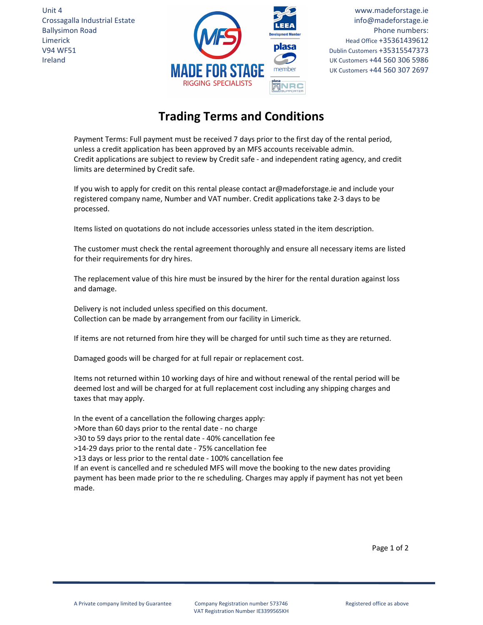Unit 4 Crossagalla Industrial Estate Ballysimon Road Limerick V94 WF51 Ireland



www.madeforstage.ie info@madeforstage.ie Phone numbers: Head Office +35361439612 Dublin Customers +35315547373 UK Customers +44 560 306 5986 UK Customers +44 560 307 2697

## **Trading Terms and Conditions**

Payment Terms: Full payment must be received 7 days prior to the first day of the rental period, unless a credit application has been approved by an MFS accounts receivable admin. Credit applications are subject to review by Credit safe ‐ and independent rating agency, and credit limits are determined by Credit safe.

If you wish to apply for credit on this rental please contact ar@madeforstage.ie and include your registered company name, Number and VAT number. Credit applications take 2‐3 days to be processed.

Items listed on quotations do not include accessories unless stated in the item description.

The customer must check the rental agreement thoroughly and ensure all necessary items are listed for their requirements for dry hires.

The replacement value of this hire must be insured by the hirer for the rental duration against loss and damage.

Delivery is not included unless specified on this document. Collection can be made by arrangement from our facility in Limerick.

If items are not returned from hire they will be charged for until such time as they are returned.

Damaged goods will be charged for at full repair or replacement cost.

Items not returned within 10 working days of hire and without renewal of the rental period will be deemed lost and will be charged for at full replacement cost including any shipping charges and taxes that may apply.

In the event of a cancellation the following charges apply:

>More than 60 days prior to the rental date ‐ no charge

>30 to 59 days prior to the rental date ‐ 40% cancellation fee

>14‐29 days prior to the rental date ‐ 75% cancellation fee

>13 days or less prior to the rental date ‐ 100% cancellation fee

If an event is cancelled and re scheduled MFS will move the booking to the new dates providing payment has been made prior to the re scheduling. Charges may apply if payment has not yet been made.

Page 1 of 2